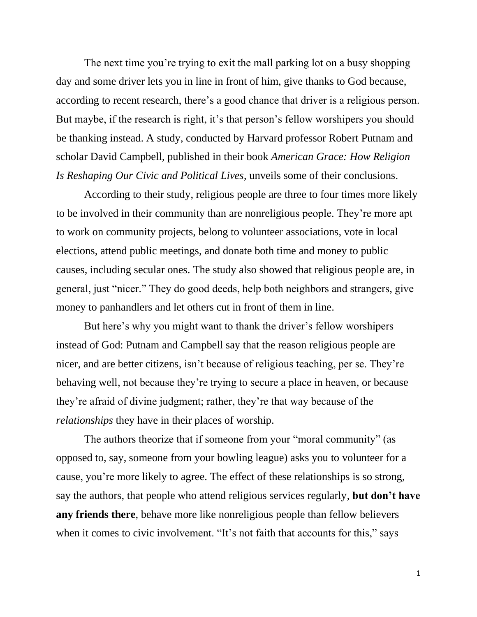The next time you're trying to exit the mall parking lot on a busy shopping day and some driver lets you in line in front of him, give thanks to God because, according to recent research, there's a good chance that driver is a religious person. But maybe, if the research is right, it's that person's fellow worshipers you should be thanking instead. A study, conducted by Harvard professor Robert Putnam and scholar David Campbell, published in their book *American Grace: How Religion Is Reshaping Our Civic and Political Lives*, unveils some of their conclusions.

According to their study, religious people are three to four times more likely to be involved in their community than are nonreligious people. They're more apt to work on community projects, belong to volunteer associations, vote in local elections, attend public meetings, and donate both time and money to public causes, including secular ones. The study also showed that religious people are, in general, just "nicer." They do good deeds, help both neighbors and strangers, give money to panhandlers and let others cut in front of them in line.

But here's why you might want to thank the driver's fellow worshipers instead of God: Putnam and Campbell say that the reason religious people are nicer, and are better citizens, isn't because of religious teaching, per se. They're behaving well, not because they're trying to secure a place in heaven, or because they're afraid of divine judgment; rather, they're that way because of the *relationships* they have in their places of worship.

The authors theorize that if someone from your "moral community" (as opposed to, say, someone from your bowling league) asks you to volunteer for a cause, you're more likely to agree. The effect of these relationships is so strong, say the authors, that people who attend religious services regularly, **but don't have any friends there**, behave more like nonreligious people than fellow believers when it comes to civic involvement. "It's not faith that accounts for this," says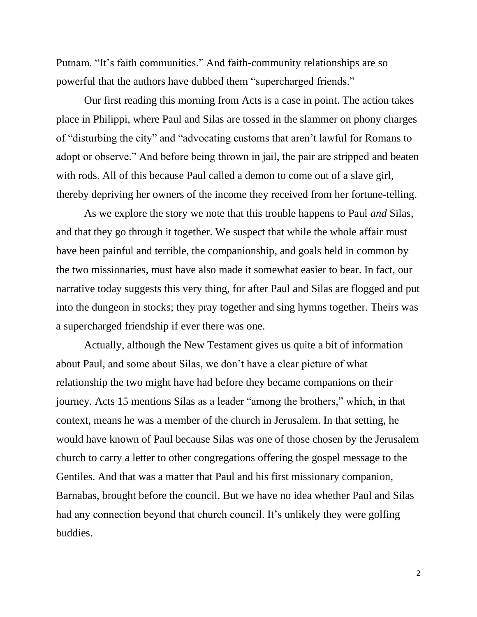Putnam. "It's faith communities." And faith-community relationships are so powerful that the authors have dubbed them "supercharged friends."

Our first reading this morning from Acts is a case in point. The action takes place in Philippi, where Paul and Silas are tossed in the slammer on phony charges of "disturbing the city" and "advocating customs that aren't lawful for Romans to adopt or observe." And before being thrown in jail, the pair are stripped and beaten with rods. All of this because Paul called a demon to come out of a slave girl, thereby depriving her owners of the income they received from her fortune-telling.

As we explore the story we note that this trouble happens to Paul *and* Silas, and that they go through it together. We suspect that while the whole affair must have been painful and terrible, the companionship, and goals held in common by the two missionaries, must have also made it somewhat easier to bear. In fact, our narrative today suggests this very thing, for after Paul and Silas are flogged and put into the dungeon in stocks; they pray together and sing hymns together. Theirs was a supercharged friendship if ever there was one.

Actually, although the New Testament gives us quite a bit of information about Paul, and some about Silas, we don't have a clear picture of what relationship the two might have had before they became companions on their journey. Acts 15 mentions Silas as a leader "among the brothers," which, in that context, means he was a member of the church in Jerusalem. In that setting, he would have known of Paul because Silas was one of those chosen by the Jerusalem church to carry a letter to other congregations offering the gospel message to the Gentiles. And that was a matter that Paul and his first missionary companion, Barnabas, brought before the council. But we have no idea whether Paul and Silas had any connection beyond that church council. It's unlikely they were golfing buddies.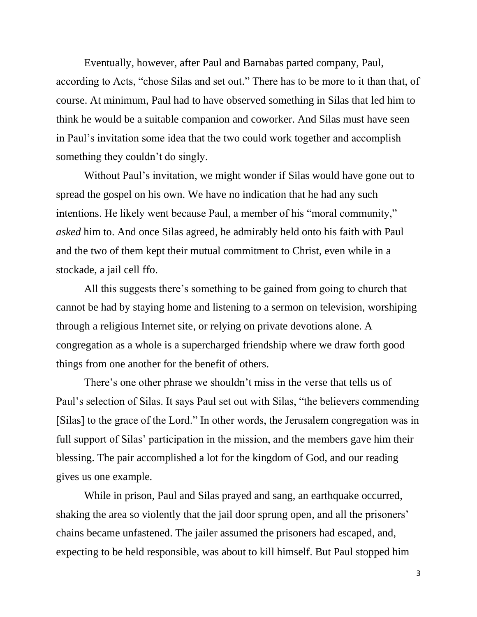Eventually, however, after Paul and Barnabas parted company, Paul, according to Acts, "chose Silas and set out." There has to be more to it than that, of course. At minimum, Paul had to have observed something in Silas that led him to think he would be a suitable companion and coworker. And Silas must have seen in Paul's invitation some idea that the two could work together and accomplish something they couldn't do singly.

Without Paul's invitation, we might wonder if Silas would have gone out to spread the gospel on his own. We have no indication that he had any such intentions. He likely went because Paul, a member of his "moral community," *asked* him to. And once Silas agreed, he admirably held onto his faith with Paul and the two of them kept their mutual commitment to Christ, even while in a stockade, a jail cell ffo.

All this suggests there's something to be gained from going to church that cannot be had by staying home and listening to a sermon on television, worshiping through a religious Internet site, or relying on private devotions alone. A congregation as a whole is a supercharged friendship where we draw forth good things from one another for the benefit of others.

There's one other phrase we shouldn't miss in the verse that tells us of Paul's selection of Silas. It says Paul set out with Silas, "the believers commending [Silas] to the grace of the Lord." In other words, the Jerusalem congregation was in full support of Silas' participation in the mission, and the members gave him their blessing. The pair accomplished a lot for the kingdom of God, and our reading gives us one example.

While in prison, Paul and Silas prayed and sang, an earthquake occurred, shaking the area so violently that the jail door sprung open, and all the prisoners' chains became unfastened. The jailer assumed the prisoners had escaped, and, expecting to be held responsible, was about to kill himself. But Paul stopped him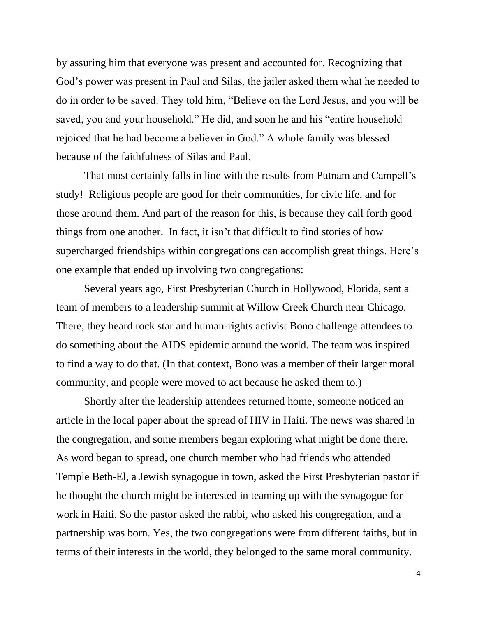by assuring him that everyone was present and accounted for. Recognizing that God's power was present in Paul and Silas, the jailer asked them what he needed to do in order to be saved. They told him, "Believe on the Lord Jesus, and you will be saved, you and your household." He did, and soon he and his "entire household rejoiced that he had become a believer in God." A whole family was blessed because of the faithfulness of Silas and Paul.

That most certainly falls in line with the results from Putnam and Campell's study! Religious people are good for their communities, for civic life, and for those around them. And part of the reason for this, is because they call forth good things from one another. In fact, it isn't that difficult to find stories of how supercharged friendships within congregations can accomplish great things. Here's one example that ended up involving two congregations:

Several years ago, First Presbyterian Church in Hollywood, Florida, sent a team of members to a leadership summit at Willow Creek Church near Chicago. There, they heard rock star and human-rights activist Bono challenge attendees to do something about the AIDS epidemic around the world. The team was inspired to find a way to do that. (In that context, Bono was a member of their larger moral community, and people were moved to act because he asked them to.)

Shortly after the leadership attendees returned home, someone noticed an article in the local paper about the spread of HIV in Haiti. The news was shared in the congregation, and some members began exploring what might be done there. As word began to spread, one church member who had friends who attended Temple Beth-El, a Jewish synagogue in town, asked the First Presbyterian pastor if he thought the church might be interested in teaming up with the synagogue for work in Haiti. So the pastor asked the rabbi, who asked his congregation, and a partnership was born. Yes, the two congregations were from different faiths, but in terms of their interests in the world, they belonged to the same moral community.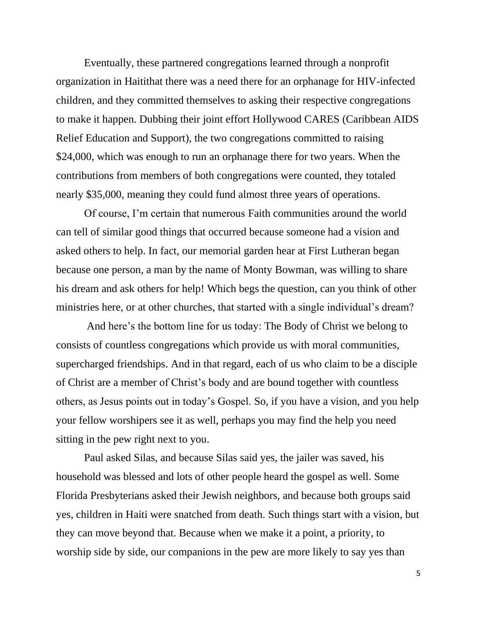Eventually, these partnered congregations learned through a nonprofit organization in Haitithat there was a need there for an orphanage for HIV-infected children, and they committed themselves to asking their respective congregations to make it happen. Dubbing their joint effort Hollywood CARES (Caribbean AIDS Relief Education and Support), the two congregations committed to raising \$24,000, which was enough to run an orphanage there for two years. When the contributions from members of both congregations were counted, they totaled nearly \$35,000, meaning they could fund almost three years of operations.

Of course, I'm certain that numerous Faith communities around the world can tell of similar good things that occurred because someone had a vision and asked others to help. In fact, our memorial garden hear at First Lutheran began because one person, a man by the name of Monty Bowman, was willing to share his dream and ask others for help! Which begs the question, can you think of other ministries here, or at other churches, that started with a single individual's dream?

And here's the bottom line for us today: The Body of Christ we belong to consists of countless congregations which provide us with moral communities, supercharged friendships. And in that regard, each of us who claim to be a disciple of Christ are a member of Christ's body and are bound together with countless others, as Jesus points out in today's Gospel. So, if you have a vision, and you help your fellow worshipers see it as well, perhaps you may find the help you need sitting in the pew right next to you.

Paul asked Silas, and because Silas said yes, the jailer was saved, his household was blessed and lots of other people heard the gospel as well. Some Florida Presbyterians asked their Jewish neighbors, and because both groups said yes, children in Haiti were snatched from death. Such things start with a vision, but they can move beyond that. Because when we make it a point, a priority, to worship side by side, our companions in the pew are more likely to say yes than